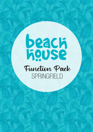# **beach**<br>Redse Function Pack **SPRINGFIELD**

**facebook.com/BeachHousespringfield**

functions.gc@hotelbeachhouse.com.au

facebook.com/BeachHouseGC **springfield@beachhousebargrill.com**

 $\mathcal{N}(\mathcal{A})$  factors  $\mathcal{A}(\mathcal{A})$ 

 $\sigma$  -07  $\mu$  and  $\sim$  11  $\mu$  ,  $\sim$  11  $\mu$  ,  $\sim$  12  $\sigma$ 

**www.communications** 

 $+0.87$  3420  $-0.7$  3420  $-0.7$  3420  $-0.7$  3420  $-0.7$ 

 $+0.7$  3420  $\mu$ 7 3420  $-1.7$   $\mu$   $\sim$   $+0.7$   $\mu$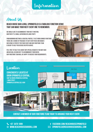Information

## About Us

#### Beach House Bar & Grill SPRINGFIELD is a fabulous function venue that can make your next event one to remember.

WE WOULD LOVE TO ACCOMMODATE YOUR NEXT FUNCTION. WHETHER IT'S A SMALL GATHERING OR LARGE PARTY.

From morning meetings & cocktail parties, to set menu dinner functions, there are a range of packages to suit every need and budget. Our venue is perfect for your event and our functions team is ready to help you decide or offer advice.

Feel free to talk to us about any special requests you may have and we will do our best to accommodate your needs. OUR FUNCTIONS TEAM WILL BE HAPPY TO DISCUSS YOUR REQUIREMENTS.



**Conveniently located at ORION SPRINGFIELD CENTRAL.**  SHOP 40 ORION SPRINGFIELD CENTRal 1 main street springfield central qld, 4300





**Contact a member of our functions team today to arrange your next event.** 



**facebook.com/BeachHouseSpringfield**  $\textrm{USEBARGRILL}.\textrm{COM} \quad \textrm{23} \quad \textrm{SPRINGFIELD@BEACHHOUSEBARGRILL}.\textrm{COM}$ 

 $\sim$  07 3420  $\mu$  3420  $\mu$  3420  $\mu$  3420  $\mu$  3420  $\mu$  3420  $\mu$  3420  $\mu$ 

Main Street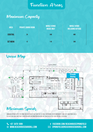## Function Areas

## Maximum Capacity

| <b>AREA</b>     | <b>PRIVATE DINING ROOM</b> | <b>WHOLE VENUE</b><br><b>INSIDE ONLY</b> | <b>WHOLE VENUE</b><br><b>INCLUDING OUTSIDE</b> |  |
|-----------------|----------------------------|------------------------------------------|------------------------------------------------|--|
| <b>COCKTAIL</b> | 24                         | 240                                      | 480                                            |  |
| <b>SET MENU</b> | 12                         | 110                                      | 240                                            |  |

## Venue Map



Minimum spends apply in some circumstances but may be flexible depending on requirements and day function is held. Please ask our function team for more information on how we can cater for your special occasion.

 $\sim$  07 3420  $\mu$  3420  $\mu$  3420  $\mu$  3420  $\mu$  3420  $\mu$  3420  $\mu$  3420  $\mu$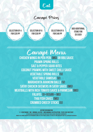

## Canapé Prices

**Selection of 4 for \$20 pp**

**Selection of 6 for \$30 pp**

**Selection of 8 for \$40 pp**

**Add additional items for \$5 each**

 $\sim$  17  $\sqrt{2}$  3420 0714  $\sim$  2420 0714  $\sim$  251

Canapé Menu **Chicken Wings in Peri Peri (MG) or bbq sauce Prawn Spring Rolls Salt & Pepper Squid Bites Coconut Prawns with Sweet Chilli Sauce Vegetable Spring Rolls (v) Vegetable Samosas (v) Margherita Arancini Balls (V) Satay Chicken Skewers in Satay Sauce (MG) Meatballs with Rich Tomato Sauce & Parmesan (MG) Falafel (V+Vegan + mg) Thai Fish Cakes (MG) Crumbed Cheesy Sticks (v)**

**dietary information V - Vegetarian | MG - minimal gluten | MGO minimal gluten option - plese ask our staff At beach house we do our best to cater for people with food allergies and dietary requirements. However, we cannot guarantee an environment completely free from allergens, so traces of some ingredients may still be present in our meals.**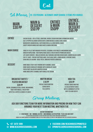

## Set Menus |**25-120 persons Alternate Drop (choose 2 items per course)**









**ENTRÉE** CAESAR SALAD - COS LETTUCE, CROUTONS, BACON, CEASAR DRESSING & PARMESAN CHEESE (MGO) Salt & Pepper Calamari served with Lemon Wedges & Garlic Aioli Sauce (MG) Margherita Arancini Balls with Mozzerella & a Rich Napoli Sauce (V) Crispy Chicken Wings with BBQ Sauce & Ranch Dressing (MG)

**MAIN COURSE** 2006 EYE FILLET WITH MASHED POTATOES, SEASONAL VEGETABLES & MUSHROOM SAUCE (MGO) Gnocchi Napolitana - Rich Napolitana Sauce & Fresh Grated Parmesan Cheese (V) Life Saver Chicken - Grilled Chicken, Half Avocado, Mustard cream Sauce, Garden Salad & Chips (MGo) Fish 'N' Chips - Freshly Battered Hake, Coleslaw, Chips, Lemon Wedge & Tartare Sauce Char Grilled Salmon - Basil Pesto, Smashed Potato & Broccoli (MG)

#### **DESSERT** HOME MADE STICKY DATE PUDDING WITH CARAMEL SAUCE (MG+V) Home Baked Chocolate Brownie with Chocolate Sauce (v) FRESH FRUIT SALAD WITH WHIPPED CREAM ( Home Made Apple Crumble with Vanilla Ice Cream (v)

#### **BREAKFAST BUFFET/ plated breakfast \$20 pp**

Bacon, Scrambled Eggs, Beans, Mushrooms, Toast with Museli, Fresh Fruit with Tea & Coffee & Choice of Juices

**Muffin Break \$18 pp** Freshly Baked Muffins served with Tea & Coffee

#### **High Tea \$25 pp** Freshly Baked Muffins & a Selection of Cakes WITH A SANDWICH PLATTER WITH TEA AND COFFEE

## Group Meetings

#### **Ask our functions team for more information and pricing on how they can arrange your next team meeting, whether it be**

**Breakfast | Morning Tea | Lunch | Afternoon Tea | Dinner | Drinks**

**dietary information**

**V - Vegetarian | MG - minimal gluten | MGO minimal gluten option - plese ask our staff At beach house we do our best to cater for people with food allergies and dietary requirements.**

**However, we cannot guarantee an environment completely free from allergens, so traces of some ingredients may still be present in our meals.**

**+07 3470 1099** +07 3420 0711 www.beachhousebargrill.com **www.beachhousebargrill.com** +07 3420 0711 www.beachhousebargrill.com

**facebook.com/BeachHouseSpringfield**  $\textrm{USEBARGRILL}.\textrm{COM} \quad \textrm{23} \quad \textrm{SPRINGFIELD@BEACHHOUSEBARGRILL}.\textrm{COM}$ 

 $\sim$  07 3420  $\mu$  3420  $\mu$  3420  $\mu$  3420  $\mu$  3420  $\mu$  3420  $\mu$  3420  $\mu$  3420  $\mu$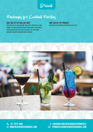Drink

## Packages for Cocktail Parties

#### **Bar Tab Set by Dollar Limit**

Bar Tab is set by Dollar Limit and is not limited by a time frame. The function holder may decide what they would like available on this type of bar tab. The functions manager can offer suggestions if needed.

**Bar Tab Set by Product** Bar Tab set by particular products selected.



**facebook.com/BeachHouseSpringfield**  $\textrm{USEBARGRILL}.\textrm{COM} \quad \textrm{23} \quad \textrm{SPRINGFIELD@BEACHHOUSEBARGRILL}.\textrm{COM}$ 

 $\sim$  07 3420  $\mu$  3420  $\mu$  3420  $\mu$  3420  $\mu$  3420  $\mu$  3420  $\mu$  3420  $\mu$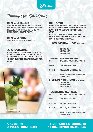Drink

## Packages for Set Menus

#### **Bar Tab Set by Dollar Limit**

Bar Tab is set by Dollar Limit and is not limited by a time frame. The function holder may decide what they would like available on this type of bar tab. The functions manager can offer suggestions if needed.

#### **Bar Tab Set by Product**

Bar Tab set by particular products selected.

#### **Custom Beverage Packages**

We are always happy to discuss any particular type of beverage package you would like, so if you feel none of our packages exactly meet your requirements, please do not hesitate to ask the Function Manager if variations are possible.

#### **Drinks Packages**

Total cost is determined by the number of people and has a set time limit. Two options exist for this beverage package: the "Surfing" drinks package and the "Sailing" drinks package.

These packages range in price from \$33 per head for a two-hour "Surfing" drink package through to \$61 per head for a four-hour "Sailing" drink package.

#### **1. SURFING PARTY DRINK PACKAGE (WITH SET MENU ONLY)**

2 HOURS AT \$33 PP 3 HOURS AT \$44 PP 4 HOURS AT \$54 PP

#### **Surfing Party Drink Package includes:**

| <b>WINF</b>        | HOUSE WHITE, HOUSE RED, HOUSE SPARKLING                                                                                      |
|--------------------|------------------------------------------------------------------------------------------------------------------------------|
| <b>TAP BEER:</b>   | <b>LOCAL TAP BEERS AND CIDER</b>                                                                                             |
| <b>SOFT DRINK:</b> | COKE, ZERO, SPRITE, LIFT, GINGER ALE                                                                                         |
| <b>JUICE:</b>      | ORANGE JUICE, APPLE JUICE, PINEAPPLE JUICE<br><b>CRANBERRY JUICE</b>                                                         |
|                    | 2. SAILING PARTY DRINK PACKAGE (WITH SET MENU ONLY)<br>2 HOURS AT \$41 PP<br>3 HOURS AT \$51 PP<br><b>4 HOURS AT \$61 PP</b> |
|                    | <b>SAILING PARTY DRINK PACKAGE INCLUDES:</b>                                                                                 |

| WINE:                 | HOUSE WHITE, HOUSE RED, HOUSE SPARKLING                               |
|-----------------------|-----------------------------------------------------------------------|
| <b>TAP BEER:</b>      | <b>LOCAL TAP BEERS AND CIDER</b>                                      |
| <b>BASIC SPIRITS:</b> | <b>SELECTION OF BASIC SPIRITS</b>                                     |
| <b>SOFT DRINK:</b>    | COKE, ZERO, SPRITE, LIFT, GINGER ALE                                  |
| <b>JUICE:</b>         | ORANGE JUICE, APPLE JUICE, PINEAPPLE JUICE,<br><b>CRANBERRY JUICE</b> |

**facebook.com/BeachHouseSpringfield**  $\textrm{USEBARGRILL}.\textrm{COM} \quad \textrm{23} \quad \textrm{SPRINGFIELD@BEACHHOUSEBARGRILL}.\textrm{COM}$ 

 $\sim$  07 3420  $\mu$  3420  $\mu$  3420  $\mu$  3420  $\mu$  3420  $\mu$  3420  $\mu$  3420  $\mu$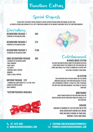## Function Extras

Special Requests

Please note that most special requests can be catered for including Vegetarian, Gluten-Free, Allergen Listings and Cooking Styles, not to mention changes in the room by agreement with the Functions Manager.

| Decorations<br><b>DECORATIONS PACKAGE 1</b><br><b>3 BUNCHES OF HELIUM BALLOONS</b>                                                                                                            | <b>\$40</b> |
|-----------------------------------------------------------------------------------------------------------------------------------------------------------------------------------------------|-------------|
| <b>DECORATIONS PACKAGE 2</b><br><b>6 BUNCHES OF HELIUM BALLOONS</b>                                                                                                                           | \$75        |
| <b>DECORATIONS PACKAGE 3</b><br><b>10 BUNCHES OF HELIUM BALLOONS</b>                                                                                                                          | \$100       |
| <b>XMAS DECORATIONS PACKAGE</b><br><b>-3 BUNCHES OF HELIUM BALLOONS</b><br>-TARI F RIINNFRS<br>-FAIRY LIGHTS<br>-TEA LIGHTS<br>-CHRISMAS TABLE-TOPPERS<br>-RONRONS<br>-TINSEL & TABLE-TOPPERS | S90         |

#### **Birthday Package \$70**

-1 Number Balloons Bunch (e.g 1 & 8 for 18th) 4 bunch Helium Balloons table runners

#### **\*Custom Packages Available**





## Entertainment

**In House Music System**

We have our own in house Audio System which has over 10,000 songs Run by the Crowd DJ App. App available on iTunes and Google Play store to download to check into the venue to request your songs.

#### **AV SYSTEM**

Each function area at Beach House has television monitors available for function holders to utilise with appropriate content. Please feel free to discuss this with our functions manager. This comes at \$50 per function.

#### **WRISTBANDS**

WRIST BANDS REQUESTED FOR FUNCTIONS (BAR TAB identification) can be purchased from the venue at \$10 per function.

### **CAKEAGE**

Cakeage is charged at \$10 Flat Rate or \$2 per head served with cream & ice cream. Price includes storage of your cake, napkins, plates and forks.

 $\sim$  07 3420  $\mu$  3420  $\mu$  3420  $\mu$  3420  $\mu$  3420  $\mu$  3420  $\mu$  3420  $\mu$  3420  $\mu$ 

**+07 3470 1099** +07 3420 0711 www.beachhousebargrill.com **www.beachhousebargrill.com** +07 3420 0711 www.beachhousebargrill.com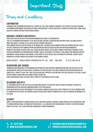Important Stuff

Terms and Conditions

#### **Confirmation**

A booking is only confirmed upon receipt of a deposit of \$100. Final payment is required 7 days prior to the event, including the minimum spend amount. In certain exceptional circumstances, it may be necessary to assign a different area/ room, Beach House will provide sufficient notice where possible.

#### **Bookings, Payments and Deposits**

Final details are due no later than fourteen working days prior to the booking date.

100% of the minimum spend amount is to be spent on food, beverage, decoration and function extras, excluding security. Menus are subject to change at any time in line with produce availability.

Final numbers are due seven days prior to the booking date. Decreased event numbers within five working days will not be accepted. Increased event numbers within five working days must be discussed with our Functions Coordinator. Payments can be made by credit card, cash, cheque or direct deposit. Please email through a remittance statement to our Functions Coordinator for confirmation of payment. Should you require a tax invoice, please request one from our Function Coordinator. Cheque payments are required 14 days prior to event. One bill will be provided per function. A credit card is required as a security bond in the instance of any damages caused.

**Bank Deposit: BEACH HOUSE springfield pty ltd BSB: 084-004 A/C:22-849-5310**

#### **Decorations and Theming**

Theming and decorating must be prearranged and approved by our Functions Coordinator and must include details of any decorations not supplied by Beach House. Decorating the function space is allowed, however certain decorations are not permitted (i.e. confetti, sticky tape, table scatters and party poppers). In the instance that these are used, the client is liable for any damages caused and/or cleaning expenses associated.

Apart from birthday cakes, no other food is permitted to be brought into the venue.

#### **Belongings and Gifts**

All belongings and gifts are to be collected upon conclusion of the function. Should storage be required, this must be prearranged with our Function Coordinator prior to the function date.

Beach House does not accept responsibility for the injury, damage or loss of any client's property left in the premises prior to, during or after an event. Any damages caused to Beach House property during an event are the financial responsibility of the client.

#### **Security**

Where a function requests a crowd controller or a function is deemed to require a crowd controller by our functions team, the crowd controller will be organised by Beach House. All associated costs incurred must be paid by the function holder prior to the event. Talk to our Functions Coordinator for more information.

 $\sim$  07 3420  $\mu$  3420  $\mu$  3420  $\mu$  3420  $\mu$  3420  $\mu$  3420  $\mu$  3420  $\mu$  3420  $\mu$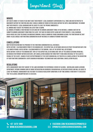# Important Stuff

## **Minors**

Any guests under 18 years of age must have their parent/ legal guardian's supervision at all times and are restricted to movements within the function area only. Should a minor be found in other areas within the hotel unaccompanied, the minor and their parents/ legal guardians may be asked to leave the premise immediately.

All minors must vacate the premises no later than 10:00pm.

All minors attending a function must be outlined on the Minors Agreement form. In the instance, a minor is not on the submitted Minors Agreement form from the client, they may be denied entry along with their parents/ legal guardian. Beach House has zero-tolerance on underage drinking. Should a minor be found consuming alcohol the function may be shut down. Please consult our Functions Coordinator on any instance of a minor attending your event.

### **Cancellations**

WRITTEN NOTIFICATION MUST BE PROVIDED TO THE FUNCTIONS COORDINATOR IN ALL INSTANCES.

Notice outside 1 calendar month prior to the booking date, the deposit will be retained and held in trust for another date (for a six month period). Notice within 1 calendar month of the booking, 100% of the deposit will be retained. Notice within 14 days of the booking date 100% of the deposit will be retained and 100% of the agreed catering spend will be invoiced for payment within seven days. Any cancellation charged for third party items hired on behalf of the client is payable by the client. Change of date or postponement of the event booking will be treated as a cancellation at the discretion of your Functions Coordinator. Events booking in November/ December may have additional cancellation policies.

#### **Regulations**

Hotel Management and staff adhere to the laws governing the Responsible Service of Alcohol - Queensland Liquor Licensing Department. Patrons showing signs of undue intoxication or disorderly behaviour will be refused service and will be asked to leave the premises. Management has the right to exercise regulatory conditions at any time during a function if it is believed that the alcohol consumption rate is excessive.

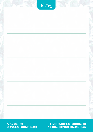|  | Notez |  |
|--|-------|--|
|  |       |  |
|  |       |  |
|  |       |  |
|  |       |  |
|  |       |  |
|  |       |  |
|  |       |  |
|  |       |  |
|  |       |  |
|  |       |  |
|  |       |  |
|  |       |  |
|  |       |  |

**+07 3470 1099** +07 3420 0711 www.beachhousebargrill.com **www.beachhousebargrill.com** +07 3420 0711 www.beachhousebargrill.com